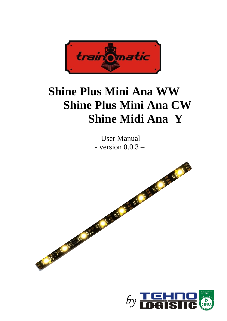

# **Shine Plus Mini Ana WW Shine Plus Mini Ana CW Shine Midi Ana Y**

User Manual - version  $0.0.3$  –



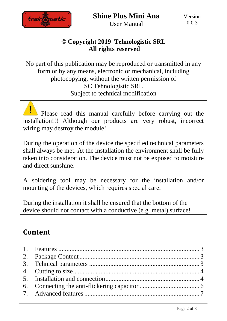

#### **© Copyright 2019 Tehnologistic SRL All rights reserved**

No part of this publication may be reproduced or transmitted in any form or by any means, electronic or mechanical, including photocopying, without the written permission of SC Tehnologistic SRL Subject to technical modification

Please read this manual carefully before carrying out the installation!!! Although our products are very robust, incorrect wiring may destroy the module!

During the operation of the device the specified technical parameters shall always be met. At the installation the environment shall be fully taken into consideration. The device must not be exposed to moisture and direct sunshine.

A soldering tool may be necessary for the installation and/or mounting of the devices, which requires special care.

During the installation it shall be ensured that the bottom of the device should not contact with a conductive (e.g. metal) surface!

### **Content**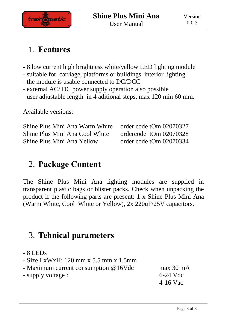

# <span id="page-2-0"></span>1. **Features**

- 8 low current high brightness white/yellow LED lighting module
- suitable for carriage, platforms or buildings interior lighting.
- the module is usable connected to DC/DCC
- external AC/ DC power supply operation also possible
- user adjustable length in 4 aditional steps, max 120 min 60 mm.

Available versions:

Shine Plus Mini Ana Warm White order code tOm 02070327 Shine Plus Mini Ana Cool White ordercode tOm 02070328 Shine Plus Mini Ana Yellow order code tOm 02070334

# <span id="page-2-1"></span>2. **Package Content**

The Shine Plus Mini Ana lighting modules are supplied in transparent plastic bags or blister packs. Check when unpacking the product if the following parts are present: 1 x Shine Plus Mini Ana (Warm White, Cool White or Yellow), 2x 220uF/25V capacitors.

# <span id="page-2-2"></span>3. **Tehnical parameters**

- 8 LEDs
- Size LxWxH: 120 mm x 5.5 mm x 1.5mm
- Maximum current consumption @16Vdc max 30 mA
- supply voltage : 6-24 Vdc

4-16 Vac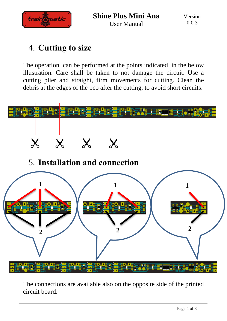

# <span id="page-3-0"></span>4. **Cutting to size**

The operation can be performed at the points indicated in the below illustration. Care shall be taken to not damage the circuit. Use a cutting plier and straight, firm movements for cutting. Clean the debris at the edges of the pcb after the cutting, to avoid short circuits.

<span id="page-3-1"></span>

The connections are available also on the opposite side of the printed circuit board.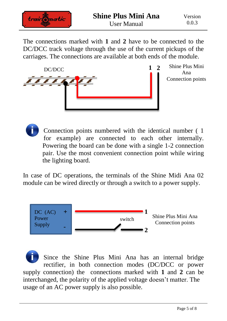

The connections marked with **1** and **2** have to be connected to the DC/DCC track voltage through the use of the current pickups of the carriages. The connections are available at both ends of the module.



Shine Plus Mini Ana Connection points

Connection points numbered with the identical number ( 1 for example) are connected to each other internally. Powering the board can be done with a single 1-2 connection pair. Use the most convenient connection point while wiring the lighting board.

In case of DC operations, the terminals of the Shine Midi Ana 02 module can be wired directly or through a switch to a power supply.



Since the Shine Plus Mini Ana has an internal bridge rectifier, in both connection modes (DC/DCC or power supply connection) the connections marked with **1** and **2** can be interchanged, the polarity of the applied voltage doesn't matter. The usage of an AC power supply is also possible.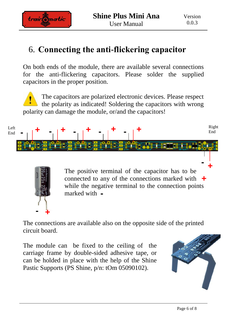

### <span id="page-5-0"></span>6. **Connecting the anti-flickering capacitor**

On both ends of the module, there are available several connections for the anti-flickering capacitors. Please solder the supplied capacitors in the proper position.

The capacitors are polarized electronic devices. Please respect the polarity as indicated! Soldering the capacitors with wrong polarity can damage the module, or/and the capacitors!





**+** connected to any of the connections marked with The positive terminal of the capacitor has to be while the negative terminal to the connection points marked with **-**

The connections are available also on the opposite side of the printed circuit board.

The module can be fixed to the ceiling of the carriage frame by double-sided adhesive tape, or can be holded in place with the help of the Shine Pastic Supports (PS Shine, p/n: tOm 05090102).

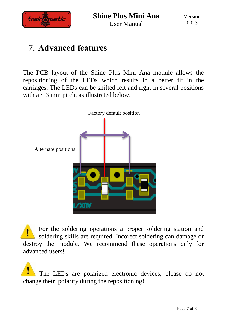

# <span id="page-6-0"></span>7. **Advanced features**

The PCB layout of the Shine Plus Mini Ana module allows the repositioning of the LEDs which results in a better fit in the carriages. The LEDs can be shifted left and right in several positions with  $a \sim 3$  mm pitch, as illustrated below.



For the soldering operations a proper soldering station and soldering skills are required. Incorect soldering can damage or destroy the module. We recommend these operations only for advanced users!

The LEDs are polarized electronic devices, please do not change their polarity during the repositioning!